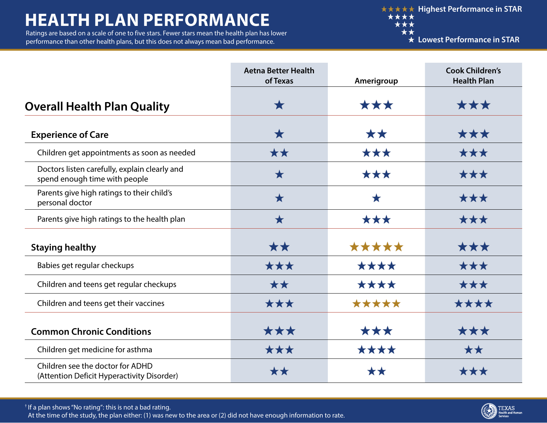## **HEALTH PLAN PERFORMANCE**

Ratings are based on a scale of one to five stars. Fewer stars mean the health plan has lower performance than other health plans, but this does not always mean bad performance.

**★★★★★ Highest Performance in STAR** \*\*\*\* \*\*\* \*\*

**Lowest Performance in STAR**

|                                                                                | <b>Aetna Better Health</b><br>of Texas | Amerigroup | <b>Cook Children's</b><br><b>Health Plan</b> |
|--------------------------------------------------------------------------------|----------------------------------------|------------|----------------------------------------------|
| <b>Overall Health Plan Quality</b>                                             | $\bigstar$                             | ***        | ***                                          |
| <b>Experience of Care</b>                                                      | $\bigstar$                             | **         | ***                                          |
| Children get appointments as soon as needed                                    | **                                     | ***        | ***                                          |
| Doctors listen carefully, explain clearly and<br>spend enough time with people | $\bigstar$                             | ***        | ***                                          |
| Parents give high ratings to their child's<br>personal doctor                  | $\bigstar$                             | $\bigstar$ | ***                                          |
| Parents give high ratings to the health plan                                   | $\bigstar$                             | ***        | ***                                          |
| <b>Staying healthy</b>                                                         | **                                     | *****      | ***                                          |
| Babies get regular checkups                                                    | ***                                    | ****       | ***                                          |
| Children and teens get regular checkups                                        | **                                     | ****       | ***                                          |
| Children and teens get their vaccines                                          | ***                                    | *****      | ****                                         |
| <b>Common Chronic Conditions</b>                                               | ***                                    | ***        | ***                                          |
| Children get medicine for asthma                                               | ***                                    | ****       | **                                           |
| Children see the doctor for ADHD<br>(Attention Deficit Hyperactivity Disorder) | **                                     | **         | ***                                          |

† If a plan shows "No rating": this is not a bad rating. At the time of the study, the plan either: (1) was new to the area or (2) did not have enough information to rate.